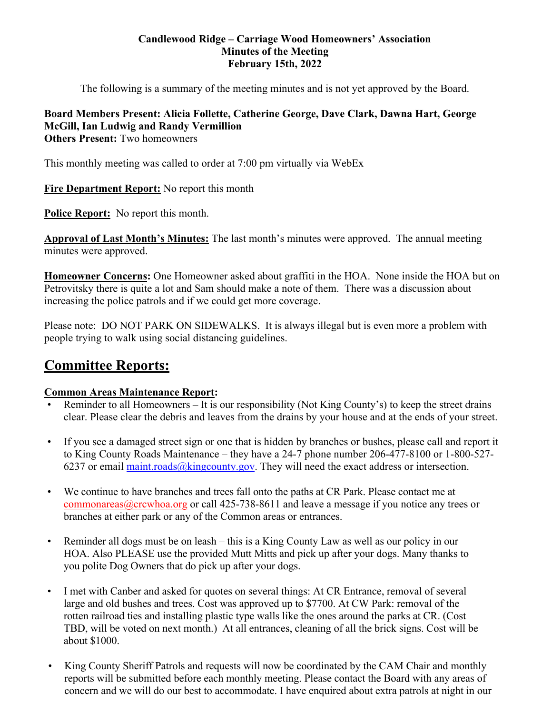### **Candlewood Ridge – Carriage Wood Homeowners' Association Minutes of the Meeting February 15th, 2022**

The following is a summary of the meeting minutes and is not yet approved by the Board.

#### **Board Members Present: Alicia Follette, Catherine George, Dave Clark, Dawna Hart, George McGill, Ian Ludwig and Randy Vermillion Others Present:** Two homeowners

This monthly meeting was called to order at 7:00 pm virtually via WebEx

**Fire Department Report:** No report this month

**Police Report:** No report this month.

**Approval of Last Month's Minutes:** The last month's minutes were approved. The annual meeting minutes were approved.

**Homeowner Concerns:** One Homeowner asked about graffiti in the HOA. None inside the HOA but on Petrovitsky there is quite a lot and Sam should make a note of them. There was a discussion about increasing the police patrols and if we could get more coverage.

Please note: DO NOT PARK ON SIDEWALKS. It is always illegal but is even more a problem with people trying to walk using social distancing guidelines.

# **Committee Reports:**

# **Common Areas Maintenance Report:**

- Reminder to all Homeowners It is our responsibility (Not King County's) to keep the street drains clear. Please clear the debris and leaves from the drains by your house and at the ends of your street.
- If you see a damaged street sign or one that is hidden by branches or bushes, please call and report it to King County Roads Maintenance – they have a 24-7 phone number 206-477-8100 or 1-800-527- 6237 or email maint.roads@kingcounty.gov. They will need the exact address or intersection.
- We continue to have branches and trees fall onto the paths at CR Park. Please contact me at commonareas@crcwhoa.org or call 425-738-8611 and leave a message if you notice any trees or branches at either park or any of the Common areas or entrances.
- Reminder all dogs must be on leash this is a King County Law as well as our policy in our HOA. Also PLEASE use the provided Mutt Mitts and pick up after your dogs. Many thanks to you polite Dog Owners that do pick up after your dogs.
- I met with Canber and asked for quotes on several things: At CR Entrance, removal of several large and old bushes and trees. Cost was approved up to \$7700. At CW Park: removal of the rotten railroad ties and installing plastic type walls like the ones around the parks at CR. (Cost TBD, will be voted on next month.) At all entrances, cleaning of all the brick signs. Cost will be about \$1000.
- King County Sheriff Patrols and requests will now be coordinated by the CAM Chair and monthly reports will be submitted before each monthly meeting. Please contact the Board with any areas of concern and we will do our best to accommodate. I have enquired about extra patrols at night in our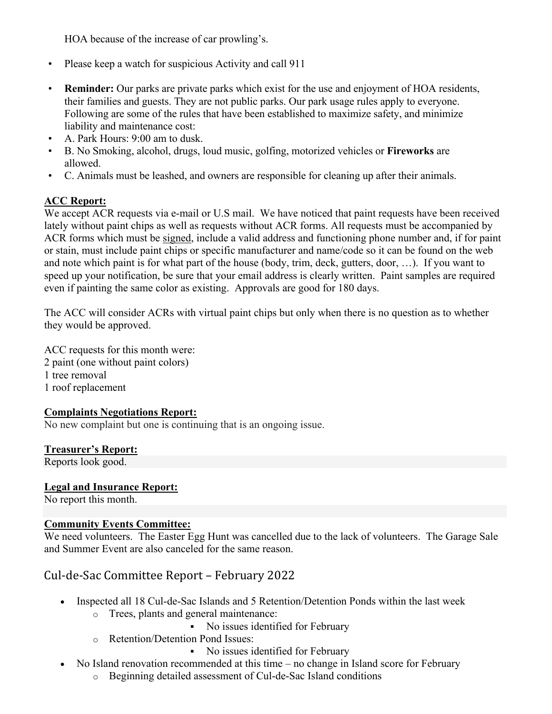HOA because of the increase of car prowling's.

- Please keep a watch for suspicious Activity and call 911
- **Reminder:** Our parks are private parks which exist for the use and enjoyment of HOA residents, their families and guests. They are not public parks. Our park usage rules apply to everyone. Following are some of the rules that have been established to maximize safety, and minimize liability and maintenance cost:
- A. Park Hours: 9:00 am to dusk.
- B. No Smoking, alcohol, drugs, loud music, golfing, motorized vehicles or **Fireworks** are allowed.
- C. Animals must be leashed, and owners are responsible for cleaning up after their animals.

# **ACC Report:**

We accept ACR requests via e-mail or U.S mail. We have noticed that paint requests have been received lately without paint chips as well as requests without ACR forms. All requests must be accompanied by ACR forms which must be signed, include a valid address and functioning phone number and, if for paint or stain, must include paint chips or specific manufacturer and name/code so it can be found on the web and note which paint is for what part of the house (body, trim, deck, gutters, door, …). If you want to speed up your notification, be sure that your email address is clearly written. Paint samples are required even if painting the same color as existing. Approvals are good for 180 days.

The ACC will consider ACRs with virtual paint chips but only when there is no question as to whether they would be approved.

ACC requests for this month were: 2 paint (one without paint colors) 1 tree removal 1 roof replacement

### **Complaints Negotiations Report:**

No new complaint but one is continuing that is an ongoing issue.

### **Treasurer's Report:**

Reports look good.

### **Legal and Insurance Report:**

No report this month.

### **Community Events Committee:**

We need volunteers. The Easter Egg Hunt was cancelled due to the lack of volunteers. The Garage Sale and Summer Event are also canceled for the same reason.

# Cul-de-Sac Committee Report – February 2022

- Inspected all 18 Cul-de-Sac Islands and 5 Retention/Detention Ponds within the last week
	- o Trees, plants and general maintenance:
		- No issues identified for February
	- o Retention/Detention Pond Issues:
		- No issues identified for February
- No Island renovation recommended at this time no change in Island score for February
	- o Beginning detailed assessment of Cul-de-Sac Island conditions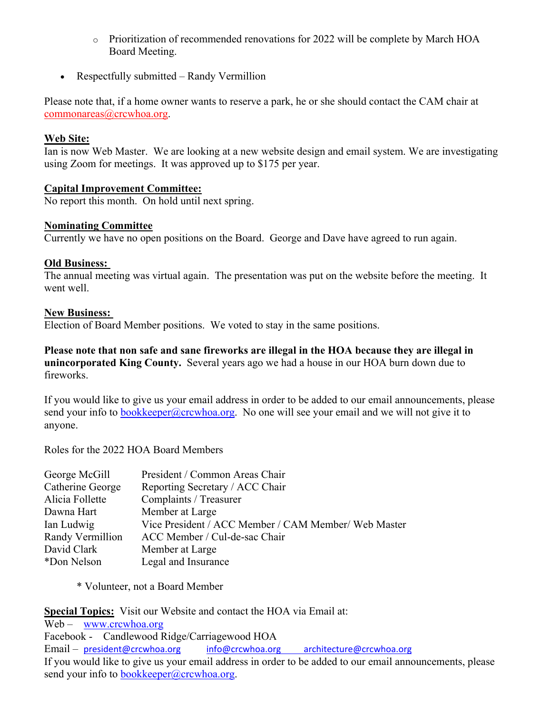- o Prioritization of recommended renovations for 2022 will be complete by March HOA Board Meeting.
- Respectfully submitted Randy Vermillion

Please note that, if a home owner wants to reserve a park, he or she should contact the CAM chair at commonareas@crcwhoa.org.

## **Web Site:**

Ian is now Web Master. We are looking at a new website design and email system. We are investigating using Zoom for meetings. It was approved up to \$175 per year.

# **Capital Improvement Committee:**

No report this month. On hold until next spring.

### **Nominating Committee**

Currently we have no open positions on the Board. George and Dave have agreed to run again.

# **Old Business:**

The annual meeting was virtual again. The presentation was put on the website before the meeting. It went well.

### **New Business:**

Election of Board Member positions. We voted to stay in the same positions.

**Please note that non safe and sane fireworks are illegal in the HOA because they are illegal in unincorporated King County.** Several years ago we had a house in our HOA burn down due to fireworks.

If you would like to give us your email address in order to be added to our email announcements, please send your info to bookkeeper@crcwhoa.org. No one will see your email and we will not give it to anyone.

Roles for the 2022 HOA Board Members

| George McGill    | President / Common Areas Chair                       |
|------------------|------------------------------------------------------|
| Catherine George | Reporting Secretary / ACC Chair                      |
| Alicia Follette  | Complaints / Treasurer                               |
| Dawna Hart       | Member at Large                                      |
| Ian Ludwig       | Vice President / ACC Member / CAM Member/ Web Master |
| Randy Vermillion | ACC Member / Cul-de-sac Chair                        |
| David Clark      | Member at Large                                      |
| *Don Nelson      | Legal and Insurance                                  |

\* Volunteer, not a Board Member

**Special Topics:** Visit our Website and contact the HOA via Email at: Web – www.crcwhoa.org Facebook - Candlewood Ridge/Carriagewood HOA

Email – president@crcwhoa.org info@crcwhoa.org architecture@crcwhoa.org If you would like to give us your email address in order to be added to our email announcements, please send your info to **bookkeeper@crcwhoa.org**.